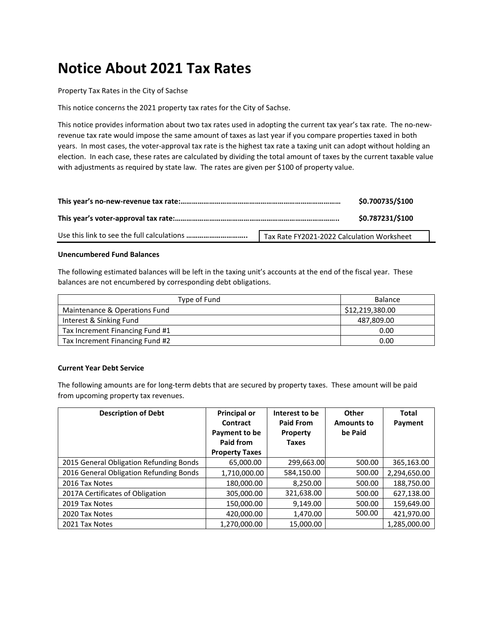## **Notice About 2021 Tax Rates**

Property Tax Rates in the City of Sachse

This notice concerns the 2021 property tax rates for the City of Sachse.

This notice provides information about two tax rates used in adopting the current tax year's tax rate. The no-newrevenue tax rate would impose the same amount of taxes as last year if you compare properties taxed in both years. In most cases, the voter-approval tax rate is the highest tax rate a taxing unit can adopt without holding an election. In each case, these rates are calculated by dividing the total amount of taxes by the current taxable value with adjustments as required by state law. The rates are given per \$100 of property value.

|                                            | \$0.700735/\$100 |
|--------------------------------------------|------------------|
|                                            | \$0.787231/\$100 |
| Tax Rate FY2021-2022 Calculation Worksheet |                  |

## **Unencumbered Fund Balances**

The following estimated balances will be left in the taxing unit's accounts at the end of the fiscal year. These balances are not encumbered by corresponding debt obligations.

| Type of Fund                    | Balance         |
|---------------------------------|-----------------|
| Maintenance & Operations Fund   | \$12,219,380.00 |
| Interest & Sinking Fund         | 487,809.00      |
| Tax Increment Financing Fund #1 | 0.00            |
| Tax Increment Financing Fund #2 | 0.00            |

## **Current Year Debt Service**

The following amounts are for long-term debts that are secured by property taxes. These amount will be paid from upcoming property tax revenues.

| <b>Description of Debt</b>              | <b>Principal or</b><br>Contract<br>Payment to be<br>Paid from<br><b>Property Taxes</b> | Interest to be<br><b>Paid From</b><br>Property<br><b>Taxes</b> | Other<br><b>Amounts to</b><br>be Paid | <b>Total</b><br>Payment |
|-----------------------------------------|----------------------------------------------------------------------------------------|----------------------------------------------------------------|---------------------------------------|-------------------------|
| 2015 General Obligation Refunding Bonds | 65,000.00                                                                              | 299,663.00                                                     | 500.00                                | 365,163.00              |
| 2016 General Obligation Refunding Bonds | 1,710,000.00                                                                           | 584,150.00                                                     | 500.00                                | 2,294,650.00            |
| 2016 Tax Notes                          | 180,000.00                                                                             | 8,250.00                                                       | 500.00                                | 188,750.00              |
| 2017A Certificates of Obligation        | 305,000.00                                                                             | 321,638.00                                                     | 500.00                                | 627,138.00              |
| 2019 Tax Notes                          | 150,000.00                                                                             | 9,149.00                                                       | 500.00                                | 159,649.00              |
| 2020 Tax Notes                          | 420,000.00                                                                             | 1,470.00                                                       | 500.00                                | 421,970.00              |
| 2021 Tax Notes                          | 1,270,000.00                                                                           | 15,000.00                                                      |                                       | 1,285,000.00            |